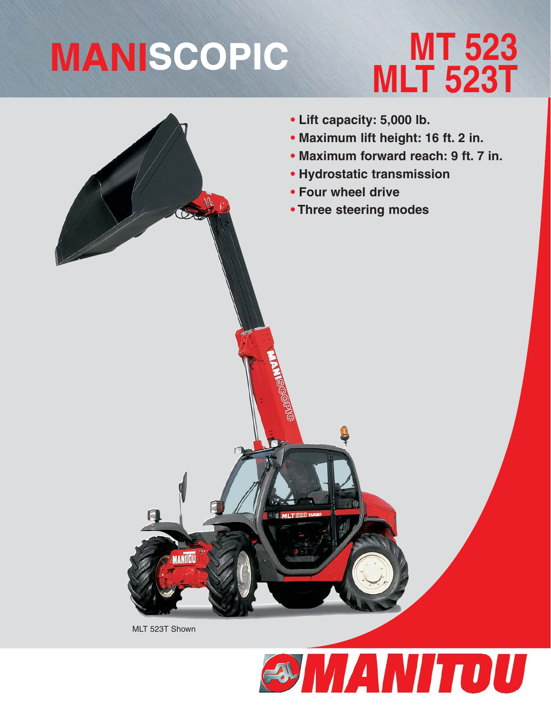# **MANISCOPIC**

## **MT 523 MLT 523T**



MLT 523T Shown